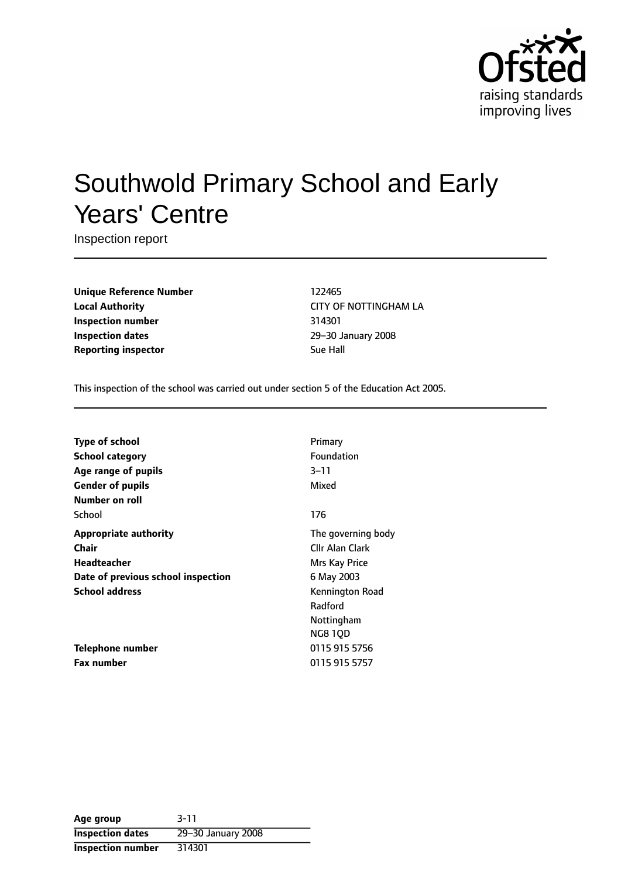

# Southwold Primary School and Early Years' Centre

Inspection report

**Unique Reference Number** 122465 **Local Authority** CITY OF NOTTINGHAM LA **Inspection number** 314301 **Inspection dates** 29-30 January 2008 **Reporting inspector** Sue Hall

This inspection of the school was carried out under section 5 of the Education Act 2005.

| <b>Type of school</b>              | Primary            |
|------------------------------------|--------------------|
| <b>School category</b>             | Foundation         |
| Age range of pupils                | $3 - 11$           |
| <b>Gender of pupils</b>            | Mixed              |
| Number on roll                     |                    |
| School                             | 176                |
| <b>Appropriate authority</b>       | The governing body |
| Chair                              | Cllr Alan Clark    |
| Headteacher                        | Mrs Kay Price      |
| Date of previous school inspection | 6 May 2003         |
| <b>School address</b>              | Kennington Road    |
|                                    | Radford            |
|                                    | Nottingham         |
|                                    | <b>NG810D</b>      |
| Telephone number                   | 0115 915 5756      |
| <b>Fax number</b>                  | 0115 915 5757      |

**Age group** 3-11 **Inspection dates** 29-30 January 2008 **Inspection number** 314301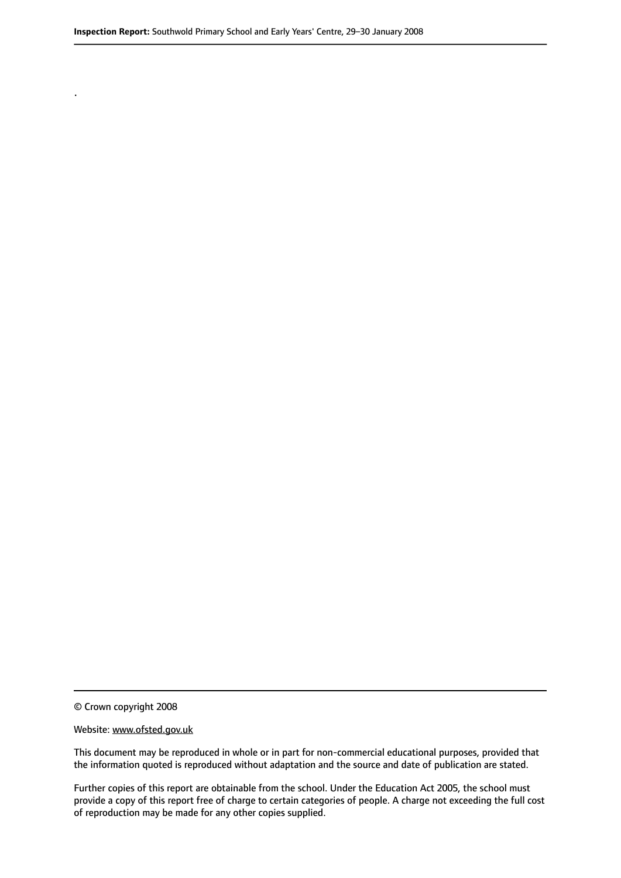© Crown copyright 2008

.

#### Website: www.ofsted.gov.uk

This document may be reproduced in whole or in part for non-commercial educational purposes, provided that the information quoted is reproduced without adaptation and the source and date of publication are stated.

Further copies of this report are obtainable from the school. Under the Education Act 2005, the school must provide a copy of this report free of charge to certain categories of people. A charge not exceeding the full cost of reproduction may be made for any other copies supplied.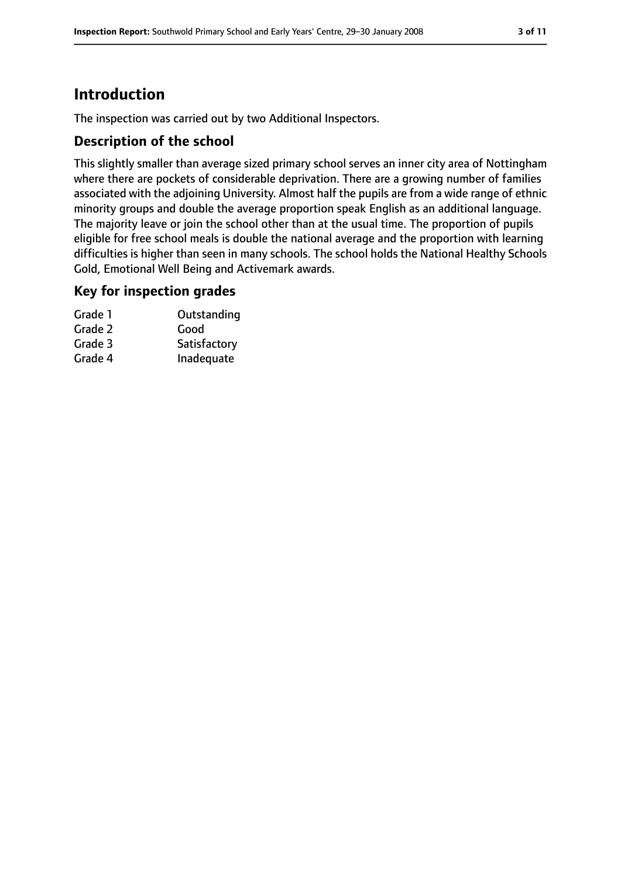# **Introduction**

The inspection was carried out by two Additional Inspectors.

### **Description of the school**

This slightly smaller than average sized primary school serves an inner city area of Nottingham where there are pockets of considerable deprivation. There are a growing number of families associated with the adjoining University. Almost half the pupils are from a wide range of ethnic minority groups and double the average proportion speak English as an additional language. The majority leave or join the school other than at the usual time. The proportion of pupils eligible for free school meals is double the national average and the proportion with learning difficulties is higher than seen in many schools. The school holds the National Healthy Schools Gold, Emotional Well Being and Activemark awards.

#### **Key for inspection grades**

| Grade 1 | Outstanding  |
|---------|--------------|
| Grade 2 | Good         |
| Grade 3 | Satisfactory |
| Grade 4 | Inadequate   |
|         |              |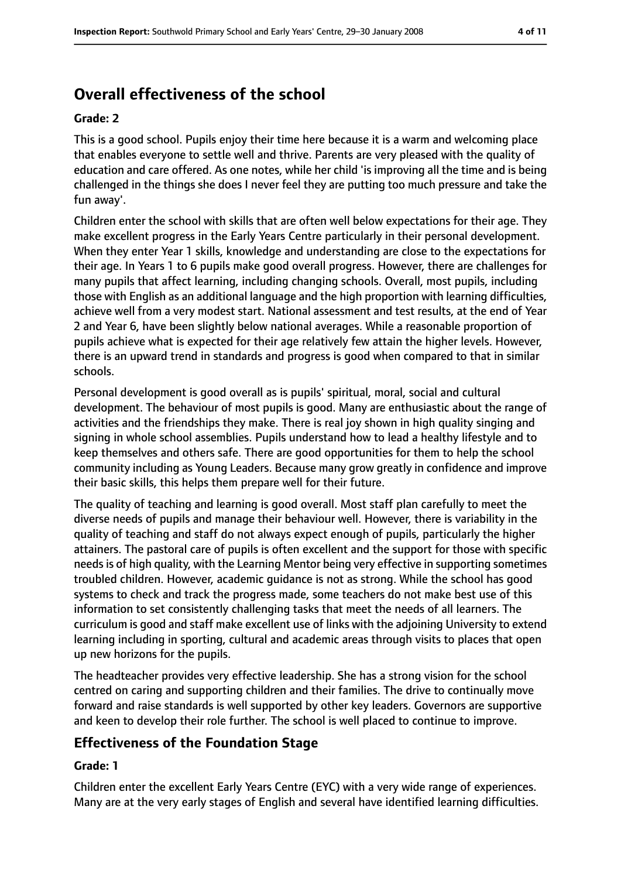# **Overall effectiveness of the school**

#### **Grade: 2**

This is a good school. Pupils enjoy their time here because it is a warm and welcoming place that enables everyone to settle well and thrive. Parents are very pleased with the quality of education and care offered. As one notes, while her child 'is improving all the time and is being challenged in the things she does I never feel they are putting too much pressure and take the fun away'.

Children enter the school with skills that are often well below expectations for their age. They make excellent progress in the Early Years Centre particularly in their personal development. When they enter Year 1 skills, knowledge and understanding are close to the expectations for their age. In Years 1 to 6 pupils make good overall progress. However, there are challenges for many pupils that affect learning, including changing schools. Overall, most pupils, including those with English as an additional language and the high proportion with learning difficulties, achieve well from a very modest start. National assessment and test results, at the end of Year 2 and Year 6, have been slightly below national averages. While a reasonable proportion of pupils achieve what is expected for their age relatively few attain the higher levels. However, there is an upward trend in standards and progress is good when compared to that in similar schools.

Personal development is good overall as is pupils' spiritual, moral, social and cultural development. The behaviour of most pupils is good. Many are enthusiastic about the range of activities and the friendships they make. There is real joy shown in high quality singing and signing in whole school assemblies. Pupils understand how to lead a healthy lifestyle and to keep themselves and others safe. There are good opportunities for them to help the school community including as Young Leaders. Because many grow greatly in confidence and improve their basic skills, this helps them prepare well for their future.

The quality of teaching and learning is good overall. Most staff plan carefully to meet the diverse needs of pupils and manage their behaviour well. However, there is variability in the quality of teaching and staff do not always expect enough of pupils, particularly the higher attainers. The pastoral care of pupils is often excellent and the support for those with specific needs is of high quality, with the Learning Mentor being very effective in supporting sometimes troubled children. However, academic guidance is not as strong. While the school has good systems to check and track the progress made, some teachers do not make best use of this information to set consistently challenging tasks that meet the needs of all learners. The curriculum is good and staff make excellent use of links with the adjoining University to extend learning including in sporting, cultural and academic areas through visits to places that open up new horizons for the pupils.

The headteacher provides very effective leadership. She has a strong vision for the school centred on caring and supporting children and their families. The drive to continually move forward and raise standards is well supported by other key leaders. Governors are supportive and keen to develop their role further. The school is well placed to continue to improve.

### **Effectiveness of the Foundation Stage**

#### **Grade: 1**

Children enter the excellent Early Years Centre (EYC) with a very wide range of experiences. Many are at the very early stages of English and several have identified learning difficulties.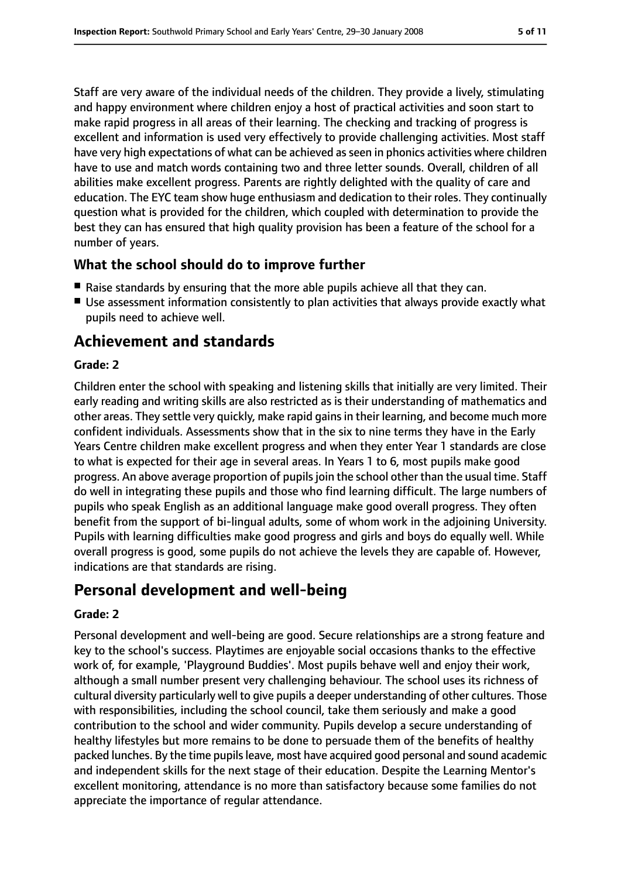Staff are very aware of the individual needs of the children. They provide a lively, stimulating and happy environment where children enjoy a host of practical activities and soon start to make rapid progress in all areas of their learning. The checking and tracking of progress is excellent and information is used very effectively to provide challenging activities. Most staff have very high expectations of what can be achieved as seen in phonics activities where children have to use and match words containing two and three letter sounds. Overall, children of all abilities make excellent progress. Parents are rightly delighted with the quality of care and education. The EYC team show huge enthusiasm and dedication to their roles. They continually question what is provided for the children, which coupled with determination to provide the best they can has ensured that high quality provision has been a feature of the school for a number of years.

#### **What the school should do to improve further**

- Raise standards by ensuring that the more able pupils achieve all that they can.
- Use assessment information consistently to plan activities that always provide exactly what pupils need to achieve well.

# **Achievement and standards**

#### **Grade: 2**

Children enter the school with speaking and listening skills that initially are very limited. Their early reading and writing skills are also restricted as is their understanding of mathematics and other areas. They settle very quickly, make rapid gainsin their learning, and become much more confident individuals. Assessments show that in the six to nine terms they have in the Early Years Centre children make excellent progress and when they enter Year 1 standards are close to what is expected for their age in several areas. In Years 1 to 6, most pupils make good progress. An above average proportion of pupils join the school other than the usual time. Staff do well in integrating these pupils and those who find learning difficult. The large numbers of pupils who speak English as an additional language make good overall progress. They often benefit from the support of bi-lingual adults, some of whom work in the adjoining University. Pupils with learning difficulties make good progress and girls and boys do equally well. While overall progress is good, some pupils do not achieve the levels they are capable of. However, indications are that standards are rising.

### **Personal development and well-being**

#### **Grade: 2**

Personal development and well-being are good. Secure relationships are a strong feature and key to the school's success. Playtimes are enjoyable social occasions thanks to the effective work of, for example, 'Playground Buddies'. Most pupils behave well and enjoy their work, although a small number present very challenging behaviour. The school uses its richness of cultural diversity particularly well to give pupils a deeper understanding of other cultures. Those with responsibilities, including the school council, take them seriously and make a good contribution to the school and wider community. Pupils develop a secure understanding of healthy lifestyles but more remains to be done to persuade them of the benefits of healthy packed lunches. By the time pupils leave, most have acquired good personal and sound academic and independent skills for the next stage of their education. Despite the Learning Mentor's excellent monitoring, attendance is no more than satisfactory because some families do not appreciate the importance of regular attendance.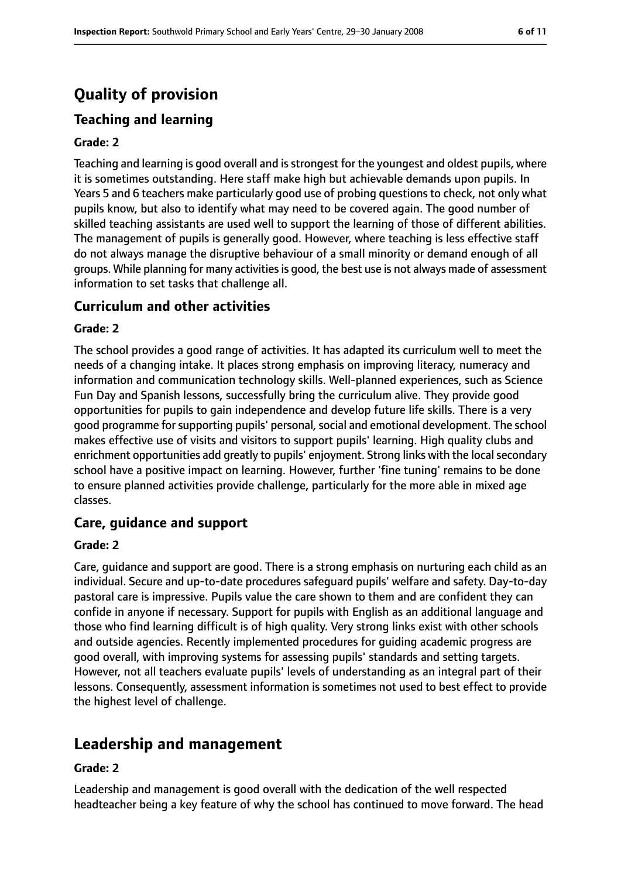# **Quality of provision**

## **Teaching and learning**

#### **Grade: 2**

Teaching and learning is good overall and is strongest for the youngest and oldest pupils, where it is sometimes outstanding. Here staff make high but achievable demands upon pupils. In Years 5 and 6 teachers make particularly good use of probing questions to check, not only what pupils know, but also to identify what may need to be covered again. The good number of skilled teaching assistants are used well to support the learning of those of different abilities. The management of pupils is generally good. However, where teaching is less effective staff do not always manage the disruptive behaviour of a small minority or demand enough of all groups. While planning for many activitiesis good, the best use is not always made of assessment information to set tasks that challenge all.

#### **Curriculum and other activities**

#### **Grade: 2**

The school provides a good range of activities. It has adapted its curriculum well to meet the needs of a changing intake. It places strong emphasis on improving literacy, numeracy and information and communication technology skills. Well-planned experiences, such as Science Fun Day and Spanish lessons, successfully bring the curriculum alive. They provide good opportunities for pupils to gain independence and develop future life skills. There is a very good programme for supporting pupils' personal, social and emotional development. The school makes effective use of visits and visitors to support pupils' learning. High quality clubs and enrichment opportunities add greatly to pupils' enjoyment. Strong links with the local secondary school have a positive impact on learning. However, further 'fine tuning' remains to be done to ensure planned activities provide challenge, particularly for the more able in mixed age classes.

#### **Care, guidance and support**

#### **Grade: 2**

Care, guidance and support are good. There is a strong emphasis on nurturing each child as an individual. Secure and up-to-date procedures safeguard pupils' welfare and safety. Day-to-day pastoral care is impressive. Pupils value the care shown to them and are confident they can confide in anyone if necessary. Support for pupils with English as an additional language and those who find learning difficult is of high quality. Very strong links exist with other schools and outside agencies. Recently implemented procedures for guiding academic progress are good overall, with improving systems for assessing pupils' standards and setting targets. However, not all teachers evaluate pupils' levels of understanding as an integral part of their lessons. Consequently, assessment information is sometimes not used to best effect to provide the highest level of challenge.

# **Leadership and management**

#### **Grade: 2**

Leadership and management is good overall with the dedication of the well respected headteacher being a key feature of why the school has continued to move forward. The head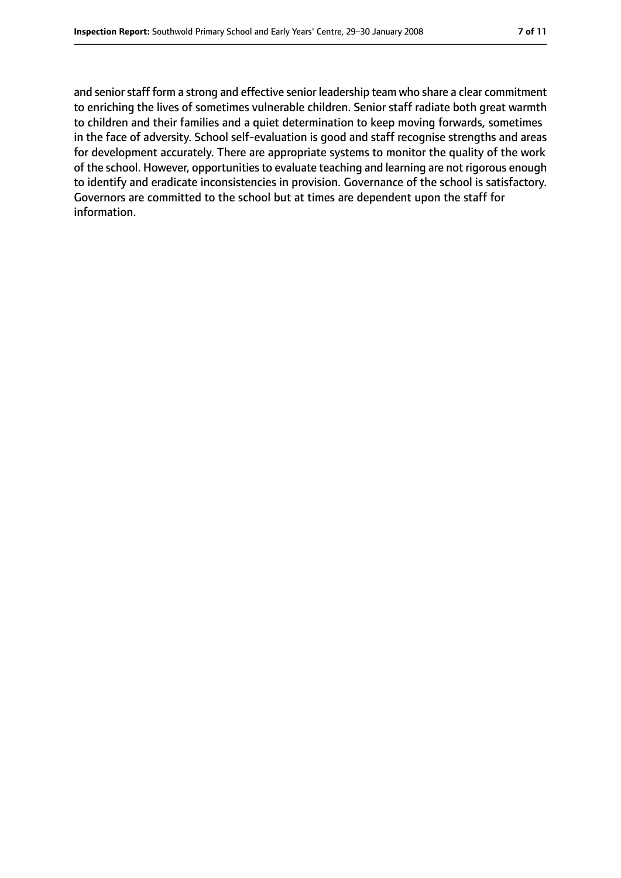and senior staff form a strong and effective senior leadership team who share a clear commitment to enriching the lives of sometimes vulnerable children. Senior staff radiate both great warmth to children and their families and a quiet determination to keep moving forwards, sometimes in the face of adversity. School self-evaluation is good and staff recognise strengths and areas for development accurately. There are appropriate systems to monitor the quality of the work of the school. However, opportunities to evaluate teaching and learning are not rigorous enough to identify and eradicate inconsistencies in provision. Governance of the school is satisfactory. Governors are committed to the school but at times are dependent upon the staff for information.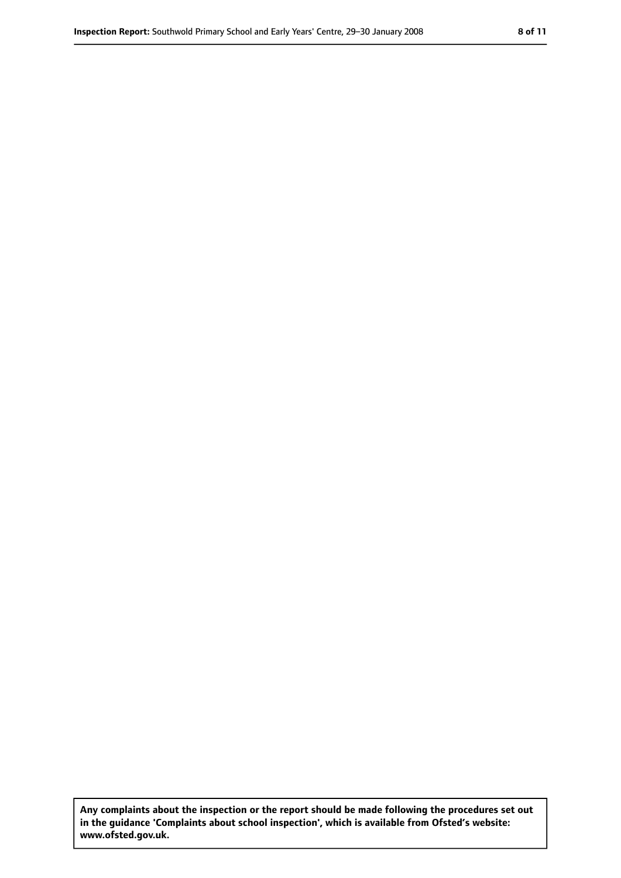**Any complaints about the inspection or the report should be made following the procedures set out in the guidance 'Complaints about school inspection', which is available from Ofsted's website: www.ofsted.gov.uk.**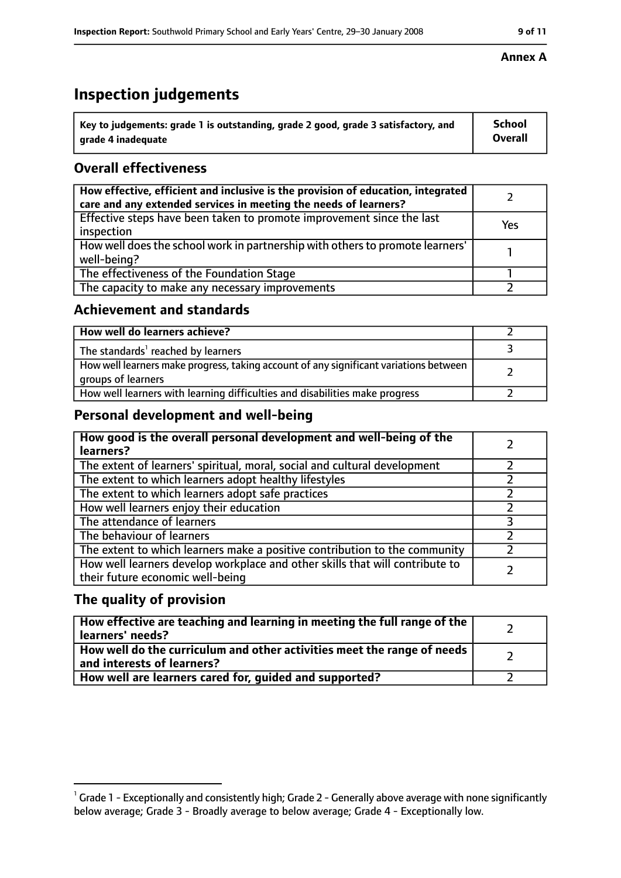# **Inspection judgements**

| $^{\backprime}$ Key to judgements: grade 1 is outstanding, grade 2 good, grade 3 satisfactory, and | <b>School</b>  |
|----------------------------------------------------------------------------------------------------|----------------|
| arade 4 inadequate                                                                                 | <b>Overall</b> |

### **Overall effectiveness**

| How effective, efficient and inclusive is the provision of education, integrated<br>care and any extended services in meeting the needs of learners? |     |
|------------------------------------------------------------------------------------------------------------------------------------------------------|-----|
| Effective steps have been taken to promote improvement since the last<br>inspection                                                                  | Yes |
| How well does the school work in partnership with others to promote learners'<br>well-being?                                                         |     |
| The effectiveness of the Foundation Stage                                                                                                            |     |
| The capacity to make any necessary improvements                                                                                                      |     |

#### **Achievement and standards**

| How well do learners achieve?                                                                               |  |
|-------------------------------------------------------------------------------------------------------------|--|
| The standards <sup>1</sup> reached by learners                                                              |  |
| How well learners make progress, taking account of any significant variations between<br>groups of learners |  |
| How well learners with learning difficulties and disabilities make progress                                 |  |

### **Personal development and well-being**

| How good is the overall personal development and well-being of the<br>learners?                                  |  |
|------------------------------------------------------------------------------------------------------------------|--|
| The extent of learners' spiritual, moral, social and cultural development                                        |  |
| The extent to which learners adopt healthy lifestyles                                                            |  |
| The extent to which learners adopt safe practices                                                                |  |
| How well learners enjoy their education                                                                          |  |
| The attendance of learners                                                                                       |  |
| The behaviour of learners                                                                                        |  |
| The extent to which learners make a positive contribution to the community                                       |  |
| How well learners develop workplace and other skills that will contribute to<br>their future economic well-being |  |

#### **The quality of provision**

| How effective are teaching and learning in meeting the full range of the<br>learners' needs?          |  |
|-------------------------------------------------------------------------------------------------------|--|
| How well do the curriculum and other activities meet the range of needs<br>and interests of learners? |  |
| How well are learners cared for, guided and supported?                                                |  |

#### **Annex A**

 $^1$  Grade 1 - Exceptionally and consistently high; Grade 2 - Generally above average with none significantly below average; Grade 3 - Broadly average to below average; Grade 4 - Exceptionally low.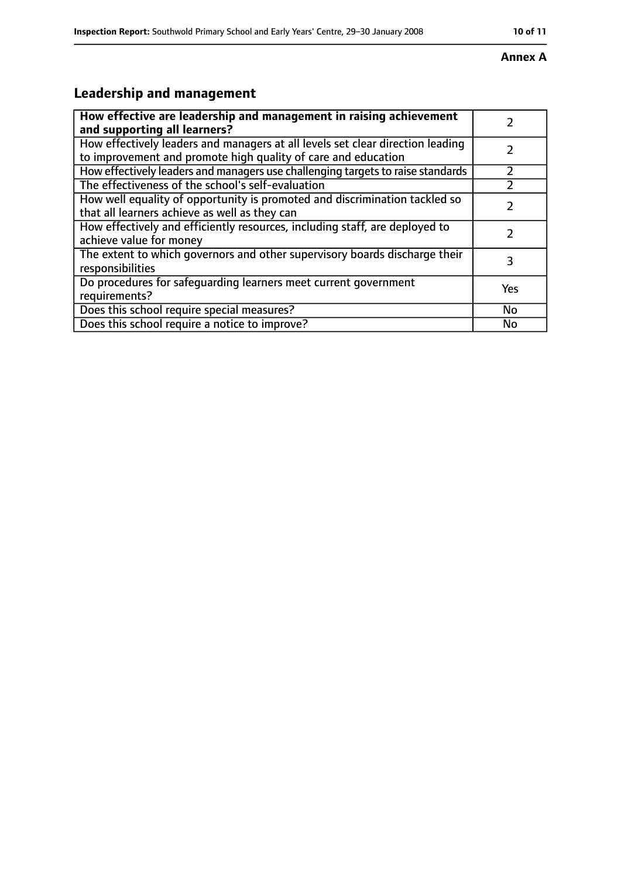#### **Annex A**

# **Leadership and management**

| How effective are leadership and management in raising achievement<br>and supporting all learners?                                              |     |
|-------------------------------------------------------------------------------------------------------------------------------------------------|-----|
| How effectively leaders and managers at all levels set clear direction leading<br>to improvement and promote high quality of care and education |     |
| How effectively leaders and managers use challenging targets to raise standards                                                                 |     |
| The effectiveness of the school's self-evaluation                                                                                               |     |
| How well equality of opportunity is promoted and discrimination tackled so<br>that all learners achieve as well as they can                     |     |
| How effectively and efficiently resources, including staff, are deployed to<br>achieve value for money                                          |     |
| The extent to which governors and other supervisory boards discharge their<br>responsibilities                                                  |     |
| Do procedures for safequarding learners meet current government<br>requirements?                                                                | Yes |
| Does this school require special measures?                                                                                                      | No  |
| Does this school require a notice to improve?                                                                                                   | No  |